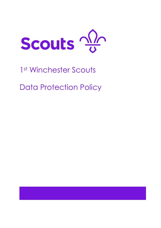

# 1<sup>st</sup> Winchester Scouts Data Protection Policy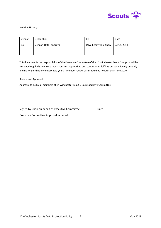

#### Revision History:

| Version | Description             | Bv                  | Date       |  |
|---------|-------------------------|---------------------|------------|--|
| 1.0     | Version 10 for approval | Dave Kesby/Tom Shaw | 23/05/2018 |  |
|         |                         |                     |            |  |

This document is the responsibility of the Executive Committee of the 1<sup>st</sup> Winchester Scout Group. It will be reviewed regularly to ensure that it remains appropriate and continues to fulfil its purpose; ideally annually and no longer that once every two years. The next review date should be no later than June 2020.

Review and Approval

Approval to be by all members of 1<sup>st</sup> Winchester Scout Group Executive Committee

Signed by Chair on behalf of Executive Committee Date Executive Committee Approval minuted: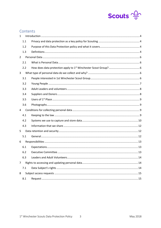

## Contents

| $\mathbf{1}$   |     |  |
|----------------|-----|--|
|                | 1.1 |  |
|                | 1.2 |  |
|                | 1.3 |  |
| $\overline{2}$ |     |  |
|                | 2.1 |  |
|                | 2.2 |  |
| 3              |     |  |
|                | 3.1 |  |
|                | 3.2 |  |
|                | 3.3 |  |
|                | 3.4 |  |
|                | 3.5 |  |
|                | 3.6 |  |
| 4              |     |  |
|                | 4.1 |  |
|                | 4.2 |  |
|                | 4.3 |  |
| 5              |     |  |
|                | 5.1 |  |
| 6              |     |  |
|                |     |  |
|                | 6.1 |  |
|                | 6.2 |  |
|                | 6.3 |  |
| 7              |     |  |
|                | 7.1 |  |
| 8              |     |  |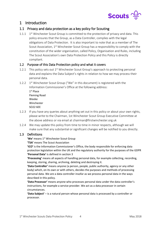

## <span id="page-3-0"></span>1 Introduction

## <span id="page-3-1"></span>1.1 Privacy and data protection as a key policy for Scouting

1.1.1 1<sup>st</sup> Winchester Scout Group is committed to the protection of privacy and data. This policy ensures that the Group, as a Data Controller, complies with the legal obligations of Data Protection. It is also important to note that as a member of The Scout Association,  $1<sup>st</sup>$  Winchester Scout Group has a responsibility to comply with the constitution of the wider organisation, called Policy, Organisation and Rules, including The Scout Association's own Data Protection Policy and this Policy is directly compliant.

#### <span id="page-3-2"></span>1.2 Purpose of this Data Protection policy and what it covers

- 1.2.1 This policy sets out 1<sup>st</sup> Winchester Scout Group's approach to protecting personal data and explains the Data Subject's rights in relation to how we may process their personal data.
- 1.2.2 1<sup>st</sup> Winchester Scout Group ("We" in this document) is registered with the Information Commissioner's Office at the following address: 1 st Place

| <b>Fleming Road</b> |
|---------------------|
| Weeke               |
| Winchester          |
| SO22 6EE            |

- 1.2.3 If you have any queries about anything set out in this policy or about your own rights, please write to the Chairman, 1st Winchester Scout Group Executive Committee at the above address or via email at [chairman@firstwinchester.org.uk](mailto:chairman@firstwinchester.org.uk)
- 1.2.4 We may update this policy from time to time in minor respects, although we will make sure that any substantial or significant changes will be notified to you directly.

## <span id="page-3-3"></span>1.3 Definitions

'We' means 1<sup>st</sup> Winchester Scout Group

**'TSA'** means The Scout Association

**'ICO'** is the Information Commissioner's Office, the body responsible for enforcing data protection legislation within the UK and the regulatory authority for the purposes of the GDPR **'Personal Data'** is defined in section 3

**'Processing'** means all aspects of handling personal data, for example collecting, recording, keeping, storing, sharing, archiving, deleting and destroying it.

**'Data Controller'** means anyone (a person, people, public authority, agency or any other body) which, on its own or with others, decides the purposes and methods of processing personal data. We are a data controller insofar as we process personal data in the ways described in this policy.

**'Data Processor'** means anyone who processes personal data under the data controller's instructions, for example a service provider. We act as a data processor in certain circumstances.

**'Data Subject'** – is a natural person whose personal data is processed by a controller or processor.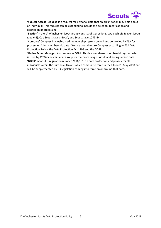

**'Subject Access Request'** is a request for personal data that an organisation may hold about an individual. This request can be extended to include the deletion, rectification and restriction of processing.

**'Section'** – the 1st Winchester Scout Group consists of six sections, two each of: Beaver Scouts (age 6-8), Cub Scouts (age 8-10  $\frac{1}{2}$ ), and Scouts (age 10  $\frac{1}{2}$  -14).

**'Compass'** Compass is a web-based membership system owned and controlled by TSA for processing Adult membership data. We are bound to use Compass according to TSA Data Protection Policy, the Data Protection Act 1998 and the GDPR.

**'Online Scout Manager'** Also known as OSM. This is a web-based membership system which is used by 1<sup>st</sup> Winchester Scout Group for the processing of Adult and Young Person data. **'GDPR'** means EU regulation number 2016/679 on data protection and privacy for all individuals within the European Union, which comes into force in the UK on 25 May 2018 and will be supplemented by UK legislation coming into force on or around that date.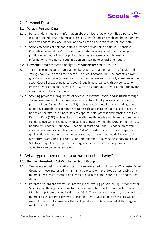

## <span id="page-5-0"></span>2 Personal Data

## <span id="page-5-1"></span>2.1 What is Personal Data

- 2.1.1 Personal data means any information about an identified or identifiable person. For example, an individual's home address, personal (home and mobile) phone numbers and email addresses, occupation, and so on can all be defined as personal data.
- 2.1.2 Some categories of personal data are recognised as being particularly sensitive ("sensitive personal data"). These include data revealing racial or ethnic origin, political opinions, religious or philosophical beliefs, genetic and biometric information, and data concerning a person's sex life or sexual orientation.

## <span id="page-5-2"></span>2.2 How does data protection apply to  $1<sup>st</sup>$  Winchester Scout Group?

- 2.2.1 1st Winchester Scout Group is a membership organization made up of adults and young people who are all members of The Scout Association. The parents and/or guardians of each young person who is a member are automatically members of the Scout Council of 1st Winchester Scout Group in accordance with our constitution, Policy, Organisation and Rules (POR). We are a community organisation – run by the community for the community.
- 2.2.2 Scouting provides a programme of adventure (physical, social and spiritual) through several age ranges. As such we require to capture, hold, process and transfer personal identifiable information (PII) such as contact details, names and age. In addition, a stretching programme requires safeguards to be put in place to ensure health and safety, so it is necessary to capture, hold, process and transfer Sensitive Personal Data (SPD) such as doctor's details, health details and dietary requirements to adults involved in the delivery of specific activities within the programme. Data is needed by Leaders, Group Scout Leaders, District and County Leaders (on certain occasions) as well as people outside of 1st Winchester Scout Group with specific qualifications to support us in the preparation, management and delivery of such adventurous activities. For safety and safe-guarding, it may be necessary to provide SPD to such qualified people or their organisations so that the programme of adventure can be delivered safely.

## <span id="page-5-3"></span>3 What type of personal data do we collect and why?

## <span id="page-5-4"></span>3.1 People interested in 1st Winchester Scout Group

- 3.1.1 We maintain basic information about those interested in joining 1st Winchester Scout Group, or those interested in maintaining contact with the Group after leaving as a member. Minimum information is required such as name, date of birth and contact details.
- 3.1.2 Parents or guardians express an interest in their young person joining  $1<sup>st</sup>$  Winchester Scout Group through an on-line form on our website. This form is emailed to our Membership Secretary and loaded into OSM. This does not mean they are or will be a member as we are typically over-subscribed. Every year people on this list will be asked if they wish to remain or they will be taken off. Data required at this stage is minimal and includes: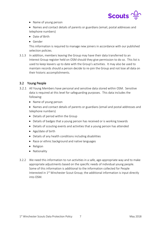

- Name of young person
- Names and contact details of parents or guardians (email, postal addresses and telephone numbers)
- Date of Birth
- Gender

This information is required to manage new joiners in accordance with our published selection policies.

3.1.3 In addition, members leaving the Group may have their data transferred to an Interest Group register held on OSM should they give permission to do so. This list is used to keep leavers up to date with the Group's activities. It may also be used to maintain records should a person decide to re-join the Group and not lose all data on their historic accomplishments.

## <span id="page-6-0"></span>3.2 Young People

- 3.2.1 All Young Members have personal and sensitive data stored within OSM. Sensitive data is required at this level for safeguarding purposes. This data includes the following:
	- Name of young person
	- Names and contact details of parents or guardians (email and postal addresses and telephone numbers)
	- Details of period within the Group
	- Details of badges that a young person has received or is working towards
	- Details of scouting events and activities that a young person has attended
	- Age/date of birth
	- Details of any health conditions including disabilities
	- Race or ethnic background and native languages
	- Religion
	- Nationality
- 3.2.2 We need this information to run activities in a safe, age-appropriate way and to make appropriate adjustments based on the specific needs of individual young people. Some of this information is additional to the information collected for People Interested in 1<sup>st</sup> Winchester Scout Group; the additional information is input directly into OSM.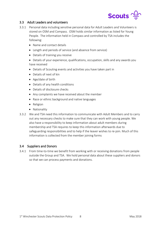

#### <span id="page-7-0"></span>3.3 Adult Leaders and volunteers

- 3.3.1 Personal data including sensitive personal data for Adult Leaders and Volunteers is stored on OSM and Compass. OSM holds similar information as listed for Young People. The information held in Compass and controlled by TSA includes the following:
	- Name and contact details
	- Length and periods of service (and absence from service)
	- Details of training you receive
	- Details of your experience, qualifications, occupation, skills and any awards you have received
	- Details of Scouting events and activities you have taken part in
	- Details of next of kin
	- Age/date of birth
	- Details of any health conditions
	- Details of disclosure checks
	- Any complaints we have received about the member
	- Race or ethnic background and native languages
	- Religion
	- Nationality
- 3.3.2 We and TSA need this information to communicate with Adult Members and to carry out any necessary checks to make sure that they can work with young people. We also have a responsibility to keep information about adult members during membership and TSA requires to keep this information afterwards due to safeguarding responsibilities and to help if the leaver wishes to re-join. Much of this information is collected from the member joining forms

#### <span id="page-7-1"></span>3.4 Suppliers and Donors

3.4.1 From time-to-time we benefit from working with or receiving donations from people outside the Group and TSA. We hold personal data about these suppliers and donors so that we can process payments and donations.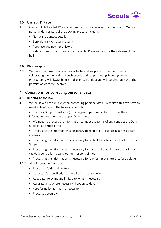

## <span id="page-8-0"></span>3.5 Users of 1<sup>st</sup> Place

- 3.5.1 Our Scout Hall, called  $1<sup>st</sup>$  Place, is hired to various regular or ad hoc users. We hold personal data as part of the booking process including
	- Name and contact details
	- Bank details (for regular users)
	- Purchase and payment history

This data is used to coordinate the use of 1st Place and ensure the safe use of the hall.

## <span id="page-8-1"></span>3.6 Photographs

3.6.1 We take photographs of scouting activities taking place for the purposes of celebrating the memories of such events and for promoting Scouting generally. Photographs will always be treated as personal data and will be used only with the permission of those involved.

## <span id="page-8-2"></span>4 Conditions for collecting personal data

#### <span id="page-8-3"></span>4.1 Keeping to the law

- 4.1.1 We must keep to the law when processing personal data. To achieve this, we have to meet at least one of the following conditions:
	- The Data Subject must give (or have given) permission for us to use their information for one or more specific purposes
	- We need to process the information to meet the terms of any contract the Data Subject has entered into
	- Processing the information is necessary to keep to our legal obligations as data controller
	- Processing the information is necessary to protect the vital interests of the Data Subject
	- Processing the information is necessary for tasks in the public interest or for us as the data controller to carry out our responsibilities
	- Processing the information is necessary for our legitimate interests (see below)
- 4.1.2 Also, information must be:
	- Processed fairly and lawfully
	- Collected for specified, clear and legitimate purposes
	- Adequate, relevant and limited to what is necessary
	- Accurate and, where necessary, kept up to date
	- Kept for no longer than is necessary
	- Processed securely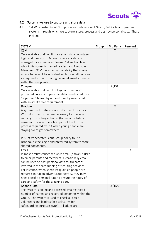

## <span id="page-9-0"></span>4.2 Systems we use to capture and store data

4.2.1 1st Winchester Scout Group uses a combination of Group, 3rd Party and personal systems through which we capture, store, process and destroy personal data. These include:

| <b>SYSTEM</b>                                            | Group | 3rd Party | Personal |
|----------------------------------------------------------|-------|-----------|----------|
| <b>OSM</b>                                               |       | X         |          |
| Only available on-line. It is accessed via a two-stage   |       |           |          |
| login and password. Access to personal data is           |       |           |          |
| managed by a nominated "owner" at section level          |       |           |          |
| who limits access to named Leaders and Executive         |       |           |          |
| Members. OSM has an email capability that allows         |       |           |          |
| emails to be sent to individual sections or all sections |       |           |          |
| as required without sharing personal email addresses     |       |           |          |
| with other recipients.                                   |       |           |          |
| Compass                                                  |       | X (TSA)   |          |
| Only available on-line. It is login and password         |       |           |          |
| protected. Access to personal data is restricted by a    |       |           |          |
| "top-down" hierarchy of need directly associated         |       |           |          |
| with an adult's role requirement.                        |       |           |          |
| <b>Dropbox</b>                                           |       | Χ         |          |
| A system used to store shared documents such as          |       |           |          |
| Word documents that are necessary for the safe           |       |           |          |
| running of scouting activities (for instance lists of    |       |           |          |
| names and contact details as part of the In Touch        |       |           |          |
| process required by TSA when young people are            |       |           |          |
| staying overnight somewhere).                            |       |           |          |
| It is 1st Winchester Scout Group policy to use           |       |           |          |
| Dropbox as the single and preferred system to store      |       |           |          |
| shared documents.                                        |       |           |          |
| Email                                                    |       |           | X        |
| In most circumstances the OSM email (above) is used      |       |           |          |
| to email parents and members. Occasionally email         |       |           |          |
| can be used to pass personal data to 3rd parties         |       |           |          |
| involved in the safe running of scouting activities.     |       |           |          |
| For instance, when specialist qualified people are       |       |           |          |
| required to run an adventurous activity, they may        |       |           |          |
| need specific personal data to ensure their duty of      |       |           |          |
| care and safety for those taking part.                   |       |           |          |
| <b>Atlantic Data</b>                                     |       | X (TSA)   |          |
| This system is online and accessed by a restricted       |       |           |          |
| number of named and recorded personnel within the        |       |           |          |
| Group. The system is used to check all adult             |       |           |          |
| volunteers and leaders for disclosures for               |       |           |          |
| safeguarding purposes (DBS). All adults are              |       |           |          |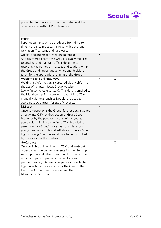

| prevented from access to personal data on all the<br>other systems without DBS clearance.           |        |   |   |
|-----------------------------------------------------------------------------------------------------|--------|---|---|
| Paper                                                                                               |        |   | Χ |
| Paper documents will be produced from time-to-                                                      |        |   |   |
| time in order to practically run activities without                                                 |        |   |   |
| relying on IT systems and hardware.                                                                 |        |   |   |
| Official documents (i.e. meeting minutes)                                                           | Χ      |   |   |
| As a registered charity the Group is legally required                                               |        |   |   |
| to produce and maintain official documents                                                          |        |   |   |
| recording the names of Trustees and Leaders within                                                  |        |   |   |
| the Group and important activities and decisions                                                    |        |   |   |
| taken for the appropriate running of the Group.                                                     |        |   |   |
| Webforms and online surveys                                                                         | $\chi$ | Χ |   |
| Waiting list information is captured via a webform on                                               |        |   |   |
| the 1st Winchester Scout Group website                                                              |        |   |   |
| (www.firstwinchester.org.uk). This data is emailed to                                               |        |   |   |
| the Membership Secretary who loads it into OSM                                                      |        |   |   |
| manually. Surveys, such as Doodle, are used to                                                      |        |   |   |
| coordinate volunteers for specific events.                                                          |        |   |   |
| <b>MyScout</b>                                                                                      | X      |   |   |
| Once someone joins the Group, further data is added                                                 |        |   |   |
| directly into OSM by the Section or Group Scout                                                     |        |   |   |
| Leader or by the parent/guardian of the young                                                       |        |   |   |
| person via an individual login to OSM branded for<br>parents as "MyScout". Most personal data for a |        |   |   |
| young person is visible and editable via the MyScout                                                |        |   |   |
| login allowing "live" personal data to be controlled                                                |        |   |   |
| by the individual themselves.                                                                       |        |   |   |
| <b>Go Cardless</b>                                                                                  |        | Χ |   |
| Only available online. Links to OSM and MyScout in                                                  |        |   |   |
| order to manage online payments for membership                                                      |        |   |   |
| subscriptions and other sums due. Information held                                                  |        |   |   |
| is name of person paying, email address and                                                         |        |   |   |
| payment history. Access is via password-protected                                                   |        |   |   |
| log-in which is only accessible by the Chair of the                                                 |        |   |   |
| Executive Committee, Treasurer and the                                                              |        |   |   |
| Membership Secretary.                                                                               |        |   |   |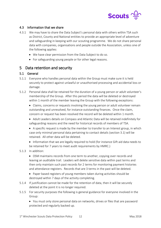

## <span id="page-11-0"></span>4.3 Information that we share

- 4.3.1 We may have to share the Data Subject's personal data with others within TSA such as District, County and National entities to provide an appropriate level of adventure and safeguarding in keeping with our scouting programme. We do not share personal data with companies, organisations and people outside the Association, unless one of the following applies:
	- We have clear permission from the Data Subject to do so.
	- For safeguarding young people or for other legal reasons.

## <span id="page-11-1"></span>5 Data retention and security

#### <span id="page-11-2"></span>5.1 General

- 5.1.1 Everyone who handles personal data within the Group must make sure it is held securely to protect against unlawful or unauthorised processing and accidental loss or damage.
- 5.1.2 Personal data shall be retained for the duration of a young person or adult volunteer's membership of the Group. After this period the data will be deleted or destroyed within 1 month of the member leaving the Group with the following exceptions:
	- Claims, concerns or requests involving the young person or adult volunteer remain outstanding and unresolved, for instance outstanding finances. Once the claim, concern or request has been resolved the record will be deleted within 1 month.
	- Adult Leaders details on Compass and Atlantic Data will be retained indefinitely for safeguarding reasons and the need for historical records of members of TSA.
	- A specific request is made by the member to transfer to an Interest group, in which case only minimal personal data pertaining to contact details (section 3.1) will be retained. All other data will be deleted.
	- Information that we are legally required to hold (for instance Gift aid data needs to be retained for 7 years to meet audit requirements by HMRC.)

#### 5.1.3 In addition:

- OSM maintains records from one term to another, copying over records and leaving an auditable trail. Leaders will delete sensitive data within past terms and then only maintain such past records for 2 terms for monitoring payment histories and attendance registers. Records that are 3 terms in the past will be deleted.
- Paper based registers of young members taken during activities should be destroyed within 7 days of the activity completing.
- 5.1.4 If justification cannot be made for the retention of data, then it will be securely deleted at the point it is no longer required.
- 5.1.5 For security purposes the following is general guidance for everyone involved in the Group:
	- You must only store personal data on networks, drives or files that are password protected and regularly backed up.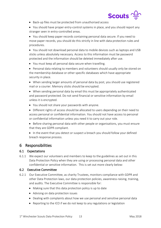

- Back-up files must be protected from unauthorised access
- You should have proper entry-control systems in place, and you should report any stranger seen in entry-controlled areas.

• You should keep paper records containing personal data secure. If you need to move paper records, you should do this strictly in line with data protection rules and procedures.

• You should not download personal data to mobile devices such as laptops and USB sticks unless absolutely necessary. Access to this information must be password protected and the information should be deleted immediately after use.

- You must keep all personal data secure when travelling.
- Personal data relating to members and volunteers should usually only be stored on the membership database or other specific databases which have appropriate security in place.
- When sending larger amounts of personal data by post, you should use registered mail or a courier. Memory sticks should be encrypted.
- When sending personal data by email this must be appropriately authenticated and password protected. Do not send financial or sensitive information by email unless it is encrypted.
- You should not share your passwords with anyone.
- Different rights of access should be allocated to users depending on their need to access personal or confidential information. You should not have access to personal or confidential information unless you need it to carry out your role.
- Before sharing personal data with other people or organisations, you must ensure that they are GDPR compliant.

• In the event that you detect or suspect a breach you should follow your defined breach response process.

## <span id="page-12-0"></span>6 Responsibilities

## <span id="page-12-1"></span>6.1 Expectations

6.1.1 We expect our volunteers and members to keep to the guidelines as set out in this Data Protection Policy when they are using or processing personal data and other confidential or sensitive information. This is set out more clearly below:

## <span id="page-12-2"></span>6.2 Executive Committee

- 6.2.1 Our Executive Committee, as charity Trustees, monitors compliance with GDPR and other Data Protection laws, our data protection policies, awareness-raising, training, and audits. The Executive Committee is responsible for:
	- Making sure that this data protection policy is up to date
	- Advising on data protection issues
	- Dealing with complaints about how we use personal and sensitive personal data
	- Reporting to the ICO if we do not keep to any regulations or legislation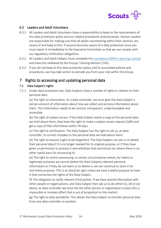

## <span id="page-13-0"></span>6.3 Leaders and Adult Volunteers

- 6.3.1 All Leaders and Adult Volunteers have a responsibility to keep to the requirements of this data protection policy and our related procedures and processes. Section Leaders are responsible for making sure that all adults volunteering within their sections are aware of and keep to this. If anyone becomes aware of a data protection issue you must report it immediately to the Executive Committee so that we can comply with our regulatory notification obligations.
- 6.3.2 All Leaders and Adult Helpers must complete the [mandatory GDPR e-learning module](http://www.winscouts.org.uk/adult-training/gdpr/index.html) and have this validated by the Groups Training Advisors (TAs).
- 6.3.3 If you do not keep to this data protection policy and its associated policies and procedures, we may take action to exclude you from your role within the Group.

## <span id="page-13-1"></span>7 Rights to accessing and updating personal data

#### <span id="page-13-2"></span>7.1 Data Subject's rights

7.1.1 Under data protection law, Data Subjects have a number of rights in relation to their personal data.

(a) The right to information: As a data controller, we must give the Data Subject a certain amount of information about how we collect and process information about them. This information needs to be concise, transparent, understandable and accessible.

(b) The right of subject access: If the Data Subject wants a copy of the personal data we hold about them, they have the right to make a subject access request (SAR) and get a copy of that information within 30 days.

(c) The right to rectification: The Data Subject has the right to ask us, as data controller, to correct mistakes in the personal data we hold about them.

(d) The right to erasure (right to be forgotten): The Data Subject can ask us to delete their personal data if it is no longer needed for its original purpose, or if they have given us permission to process it and withdraw that permission (or where there is no other lawful basis for processing it).

(e) The right to restrict processing: In certain circumstances where, for lawful or legitimate purposes we cannot delete the Data Subjects relevant personal information or if they do not want us to delete it, we can continue to store it for restricted purposes. This is an absolute right unless we have a lawful purpose to have it that overwrites the rights of the Data Subject.

(f) The obligation to notify relevant third parties: If we have shared information with other people or organisations, and Data Subject then ask us to do either (c), (d) or (e) above, as data controller we must tell the other person or organisation (unless this is impossible or involves effort that is out of proportion to the matter).

(g) The right to data portability: This allows the Data Subject to transfer personal data from one data controller to another.